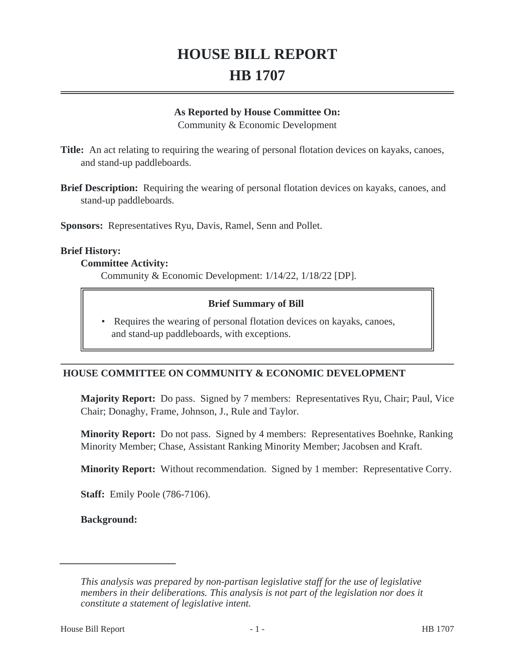# **HOUSE BILL REPORT HB 1707**

#### **As Reported by House Committee On:**

Community & Economic Development

**Title:** An act relating to requiring the wearing of personal flotation devices on kayaks, canoes, and stand-up paddleboards.

**Brief Description:** Requiring the wearing of personal flotation devices on kayaks, canoes, and stand-up paddleboards.

**Sponsors:** Representatives Ryu, Davis, Ramel, Senn and Pollet.

#### **Brief History:**

#### **Committee Activity:**

Community & Economic Development: 1/14/22, 1/18/22 [DP].

#### **Brief Summary of Bill**

 Requires the wearing of personal flotation devices on kayaks, canoes, and stand-up paddleboards, with exceptions.  $\bullet$ 

# **HOUSE COMMITTEE ON COMMUNITY & ECONOMIC DEVELOPMENT**

**Majority Report:** Do pass. Signed by 7 members: Representatives Ryu, Chair; Paul, Vice Chair; Donaghy, Frame, Johnson, J., Rule and Taylor.

**Minority Report:** Do not pass. Signed by 4 members: Representatives Boehnke, Ranking Minority Member; Chase, Assistant Ranking Minority Member; Jacobsen and Kraft.

**Minority Report:** Without recommendation. Signed by 1 member: Representative Corry.

**Staff:** Emily Poole (786-7106).

**Background:**

*This analysis was prepared by non-partisan legislative staff for the use of legislative members in their deliberations. This analysis is not part of the legislation nor does it constitute a statement of legislative intent.*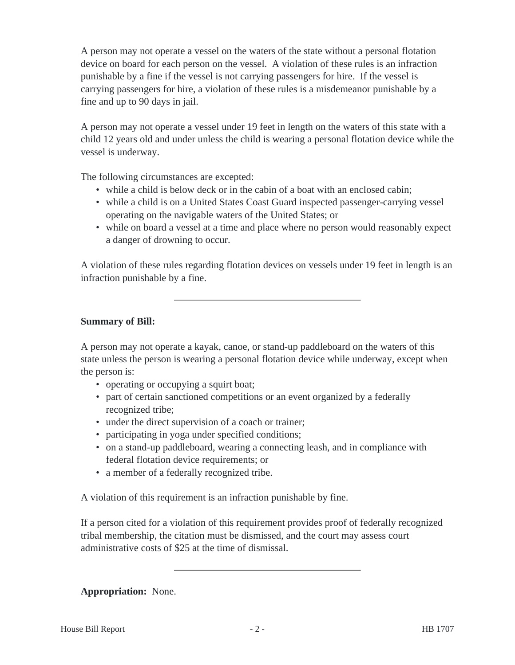A person may not operate a vessel on the waters of the state without a personal flotation device on board for each person on the vessel. A violation of these rules is an infraction punishable by a fine if the vessel is not carrying passengers for hire. If the vessel is carrying passengers for hire, a violation of these rules is a misdemeanor punishable by a fine and up to 90 days in jail.

A person may not operate a vessel under 19 feet in length on the waters of this state with a child 12 years old and under unless the child is wearing a personal flotation device while the vessel is underway.

The following circumstances are excepted:

- while a child is below deck or in the cabin of a boat with an enclosed cabin;
- while a child is on a United States Coast Guard inspected passenger-carrying vessel operating on the navigable waters of the United States; or
- while on board a vessel at a time and place where no person would reasonably expect a danger of drowning to occur.

A violation of these rules regarding flotation devices on vessels under 19 feet in length is an infraction punishable by a fine.

# **Summary of Bill:**

A person may not operate a kayak, canoe, or stand-up paddleboard on the waters of this state unless the person is wearing a personal flotation device while underway, except when the person is:

- operating or occupying a squirt boat;
- part of certain sanctioned competitions or an event organized by a federally recognized tribe;
- under the direct supervision of a coach or trainer;
- participating in yoga under specified conditions;
- on a stand-up paddleboard, wearing a connecting leash, and in compliance with federal flotation device requirements; or
- a member of a federally recognized tribe.

A violation of this requirement is an infraction punishable by fine.

If a person cited for a violation of this requirement provides proof of federally recognized tribal membership, the citation must be dismissed, and the court may assess court administrative costs of \$25 at the time of dismissal.

# **Appropriation:** None.